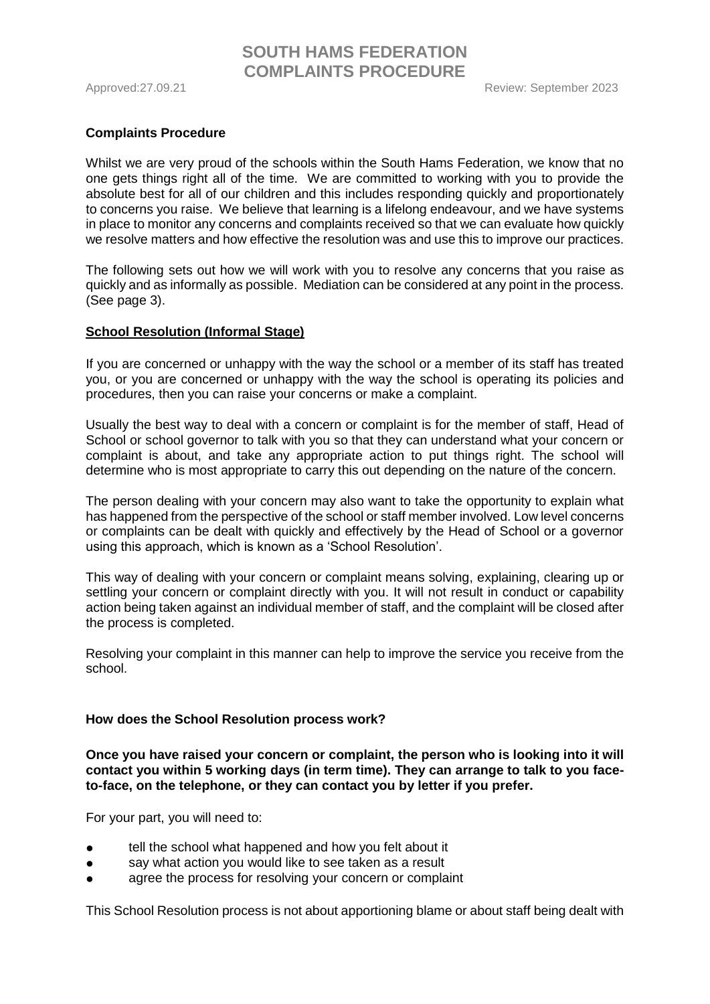#### **Complaints Procedure**

Whilst we are very proud of the schools within the South Hams Federation, we know that no one gets things right all of the time. We are committed to working with you to provide the absolute best for all of our children and this includes responding quickly and proportionately to concerns you raise. We believe that learning is a lifelong endeavour, and we have systems in place to monitor any concerns and complaints received so that we can evaluate how quickly we resolve matters and how effective the resolution was and use this to improve our practices.

The following sets out how we will work with you to resolve any concerns that you raise as quickly and as informally as possible. Mediation can be considered at any point in the process. (See page 3).

#### **School Resolution (Informal Stage)**

If you are concerned or unhappy with the way the school or a member of its staff has treated you, or you are concerned or unhappy with the way the school is operating its policies and procedures, then you can raise your concerns or make a complaint.

Usually the best way to deal with a concern or complaint is for the member of staff, Head of School or school governor to talk with you so that they can understand what your concern or complaint is about, and take any appropriate action to put things right. The school will determine who is most appropriate to carry this out depending on the nature of the concern.

The person dealing with your concern may also want to take the opportunity to explain what has happened from the perspective of the school or staff member involved. Low level concerns or complaints can be dealt with quickly and effectively by the Head of School or a governor using this approach, which is known as a 'School Resolution'.

This way of dealing with your concern or complaint means solving, explaining, clearing up or settling your concern or complaint directly with you. It will not result in conduct or capability action being taken against an individual member of staff, and the complaint will be closed after the process is completed.

Resolving your complaint in this manner can help to improve the service you receive from the school.

#### **How does the School Resolution process work?**

**Once you have raised your concern or complaint, the person who is looking into it will contact you within 5 working days (in term time). They can arrange to talk to you faceto-face, on the telephone, or they can contact you by letter if you prefer.**

For your part, you will need to:

- tell the school what happened and how you felt about it
- say what action you would like to see taken as a result
- agree the process for resolving your concern or complaint

This School Resolution process is not about apportioning blame or about staff being dealt with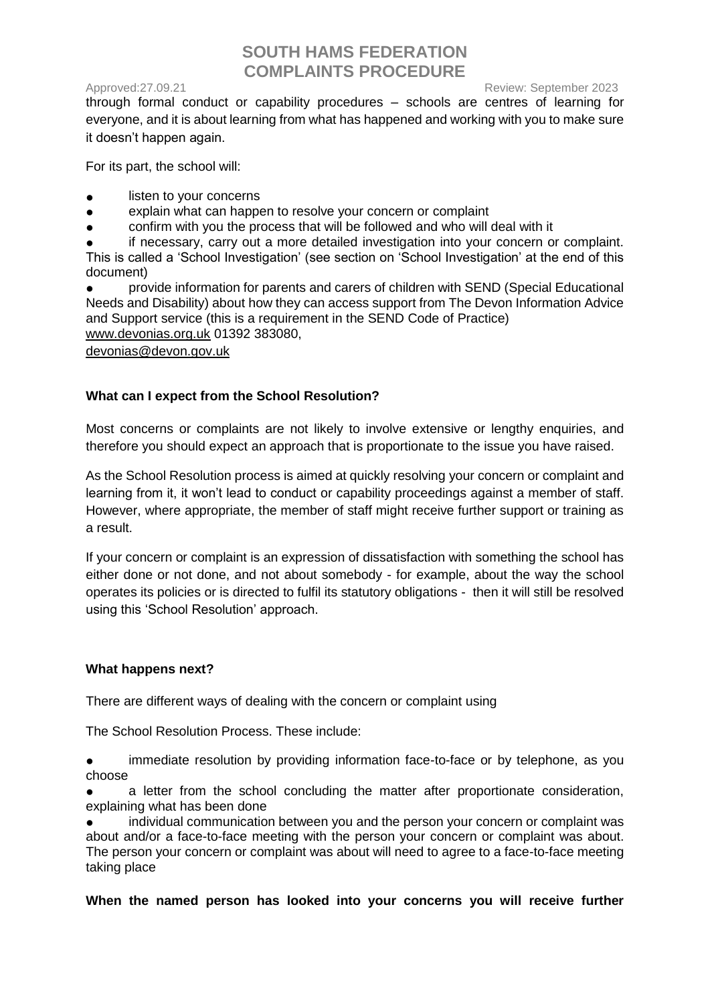Approved:27.09.21 **Approved:27.09.21** Approved:27.09.21

through formal conduct or capability procedures – schools are centres of learning for everyone, and it is about learning from what has happened and working with you to make sure it doesn't happen again.

For its part, the school will:

- listen to your concerns
- explain what can happen to resolve your concern or complaint
- confirm with you the process that will be followed and who will deal with it

if necessary, carry out a more detailed investigation into your concern or complaint. This is called a 'School Investigation' (see section on 'School Investigation' at the end of this document)

provide information for parents and carers of children with SEND (Special Educational Needs and Disability) about how they can access support from The Devon Information Advice and Support service (this is a requirement in the SEND Code of Practice) [www.devonias.org.uk](http://www.devonias.org.uk/) 01392 383080,

[devonias@devon.gov.uk](mailto:devonias@devon.gov.uk)

## **What can I expect from the School Resolution?**

Most concerns or complaints are not likely to involve extensive or lengthy enquiries, and therefore you should expect an approach that is proportionate to the issue you have raised.

As the School Resolution process is aimed at quickly resolving your concern or complaint and learning from it, it won't lead to conduct or capability proceedings against a member of staff. However, where appropriate, the member of staff might receive further support or training as a result.

If your concern or complaint is an expression of dissatisfaction with something the school has either done or not done, and not about somebody - for example, about the way the school operates its policies or is directed to fulfil its statutory obligations - then it will still be resolved using this 'School Resolution' approach.

## **What happens next?**

There are different ways of dealing with the concern or complaint using

The School Resolution Process. These include:

immediate resolution by providing information face-to-face or by telephone, as you choose

● a letter from the school concluding the matter after proportionate consideration, explaining what has been done

individual communication between you and the person your concern or complaint was about and/or a face-to-face meeting with the person your concern or complaint was about. The person your concern or complaint was about will need to agree to a face-to-face meeting taking place

**When the named person has looked into your concerns you will receive further**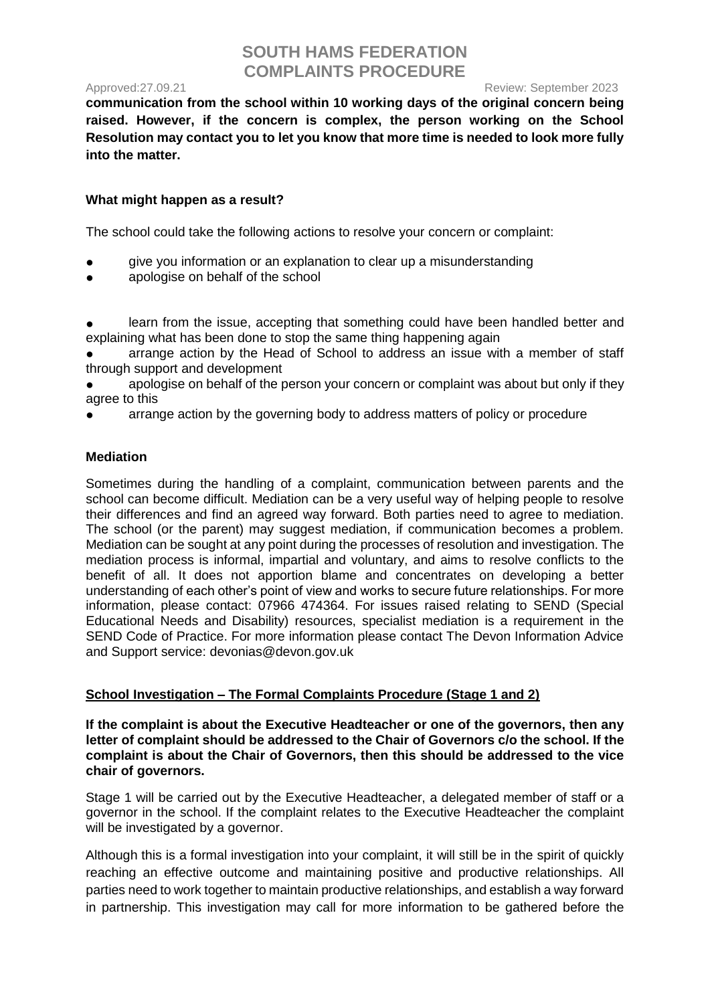Approved:27.09.21 **Approved:27.09.21** Approved:27.09.21

**communication from the school within 10 working days of the original concern being raised. However, if the concern is complex, the person working on the School Resolution may contact you to let you know that more time is needed to look more fully into the matter.**

## **What might happen as a result?**

The school could take the following actions to resolve your concern or complaint:

- give you information or an explanation to clear up a misunderstanding
- apologise on behalf of the school

learn from the issue, accepting that something could have been handled better and explaining what has been done to stop the same thing happening again

arrange action by the Head of School to address an issue with a member of staff through support and development

apologise on behalf of the person your concern or complaint was about but only if they agree to this

arrange action by the governing body to address matters of policy or procedure

## **Mediation**

Sometimes during the handling of a complaint, communication between parents and the school can become difficult. Mediation can be a very useful way of helping people to resolve their differences and find an agreed way forward. Both parties need to agree to mediation. The school (or the parent) may suggest mediation, if communication becomes a problem. Mediation can be sought at any point during the processes of resolution and investigation. The mediation process is informal, impartial and voluntary, and aims to resolve conflicts to the benefit of all. It does not apportion blame and concentrates on developing a better understanding of each other's point of view and works to secure future relationships. For more information, please contact: 07966 474364. For issues raised relating to SEND (Special Educational Needs and Disability) resources, specialist mediation is a requirement in the SEND Code of Practice. For more information please contact The Devon Information Advice and Support service: devonias@devon.gov.uk

## **School Investigation – The Formal Complaints Procedure (Stage 1 and 2)**

**If the complaint is about the Executive Headteacher or one of the governors, then any letter of complaint should be addressed to the Chair of Governors c/o the school. If the complaint is about the Chair of Governors, then this should be addressed to the vice chair of governors.**

Stage 1 will be carried out by the Executive Headteacher, a delegated member of staff or a governor in the school. If the complaint relates to the Executive Headteacher the complaint will be investigated by a governor.

Although this is a formal investigation into your complaint, it will still be in the spirit of quickly reaching an effective outcome and maintaining positive and productive relationships. All parties need to work together to maintain productive relationships, and establish a way forward in partnership. This investigation may call for more information to be gathered before the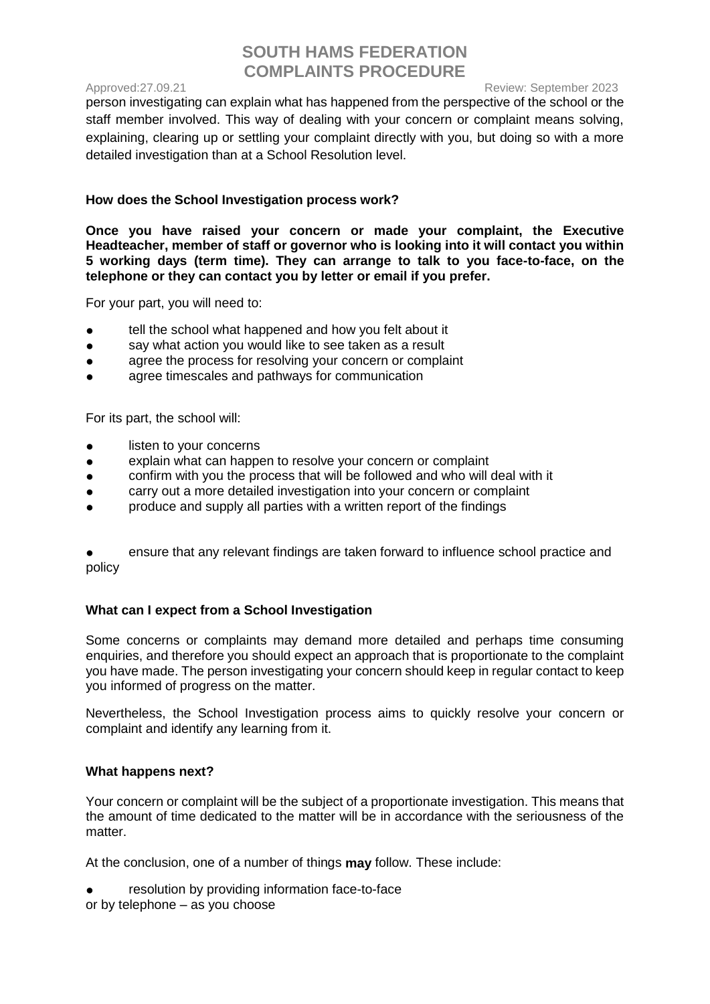Approved:27.09.21 **Approved:27.09.21** Approved:27.09.21

person investigating can explain what has happened from the perspective of the school or the staff member involved. This way of dealing with your concern or complaint means solving, explaining, clearing up or settling your complaint directly with you, but doing so with a more detailed investigation than at a School Resolution level.

## **How does the School Investigation process work?**

**Once you have raised your concern or made your complaint, the Executive Headteacher, member of staff or governor who is looking into it will contact you within 5 working days (term time). They can arrange to talk to you face-to-face, on the telephone or they can contact you by letter or email if you prefer.**

For your part, you will need to:

- tell the school what happened and how you felt about it
- say what action you would like to see taken as a result
- agree the process for resolving your concern or complaint
- agree timescales and pathways for communication

For its part, the school will:

- listen to your concerns
- explain what can happen to resolve your concern or complaint
- confirm with you the process that will be followed and who will deal with it
- carry out a more detailed investigation into your concern or complaint
- produce and supply all parties with a written report of the findings

ensure that any relevant findings are taken forward to influence school practice and policy

## **What can I expect from a School Investigation**

Some concerns or complaints may demand more detailed and perhaps time consuming enquiries, and therefore you should expect an approach that is proportionate to the complaint you have made. The person investigating your concern should keep in regular contact to keep you informed of progress on the matter.

Nevertheless, the School Investigation process aims to quickly resolve your concern or complaint and identify any learning from it.

## **What happens next?**

Your concern or complaint will be the subject of a proportionate investigation. This means that the amount of time dedicated to the matter will be in accordance with the seriousness of the matter.

At the conclusion, one of a number of things **may** follow. These include:

resolution by providing information face-to-face

or by telephone – as you choose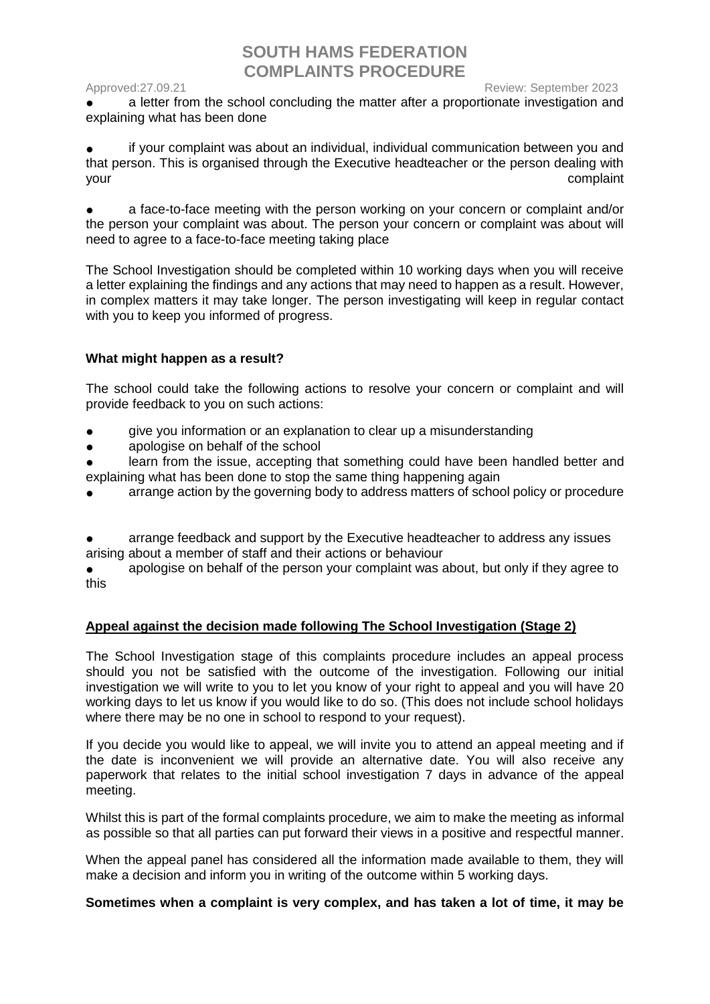#### Approved:27.09.21 **Approved:27.09.21** Approved:27.09.21

a letter from the school concluding the matter after a proportionate investigation and explaining what has been done

if your complaint was about an individual, individual communication between you and that person. This is organised through the Executive headteacher or the person dealing with your complaint

a face-to-face meeting with the person working on your concern or complaint and/or the person your complaint was about. The person your concern or complaint was about will need to agree to a face-to-face meeting taking place

The School Investigation should be completed within 10 working days when you will receive a letter explaining the findings and any actions that may need to happen as a result. However, in complex matters it may take longer. The person investigating will keep in regular contact with you to keep you informed of progress.

#### **What might happen as a result?**

The school could take the following actions to resolve your concern or complaint and will provide feedback to you on such actions:

- give you information or an explanation to clear up a misunderstanding
- apologise on behalf of the school
- learn from the issue, accepting that something could have been handled better and explaining what has been done to stop the same thing happening again
- arrange action by the governing body to address matters of school policy or procedure
- arrange feedback and support by the Executive headteacher to address any issues arising about a member of staff and their actions or behaviour
- apologise on behalf of the person your complaint was about, but only if they agree to this

## **Appeal against the decision made following The School Investigation (Stage 2)**

The School Investigation stage of this complaints procedure includes an appeal process should you not be satisfied with the outcome of the investigation. Following our initial investigation we will write to you to let you know of your right to appeal and you will have 20 working days to let us know if you would like to do so. (This does not include school holidays where there may be no one in school to respond to your request).

If you decide you would like to appeal, we will invite you to attend an appeal meeting and if the date is inconvenient we will provide an alternative date. You will also receive any paperwork that relates to the initial school investigation 7 days in advance of the appeal meeting.

Whilst this is part of the formal complaints procedure, we aim to make the meeting as informal as possible so that all parties can put forward their views in a positive and respectful manner.

When the appeal panel has considered all the information made available to them, they will make a decision and inform you in writing of the outcome within 5 working days.

#### **Sometimes when a complaint is very complex, and has taken a lot of time, it may be**